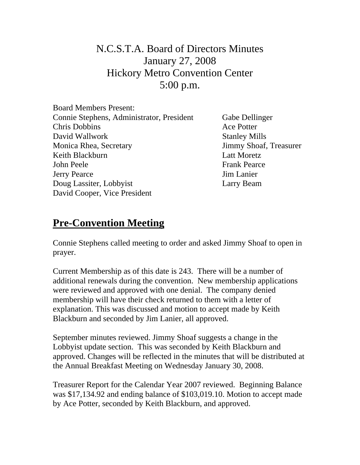## N.C.S.T.A. Board of Directors Minutes January 27, 2008 Hickory Metro Convention Center 5:00 p.m.

| <b>Board Members Present:</b>             |
|-------------------------------------------|
| Connie Stephens, Administrator, President |
| <b>Chris Dobbins</b>                      |
| David Wallwork                            |
| Monica Rhea, Secretary                    |
| Keith Blackburn                           |
| John Peele                                |
| <b>Jerry Pearce</b>                       |
| Doug Lassiter, Lobbyist                   |
| David Cooper, Vice President              |

Gabe Dellinger Ace Potter **Stanley Mills** Jimmy Shoaf, Treasurer Latt Moretz Frank Pearce Jim Lanier Larry Beam

## **Pre-Convention Meeting**

Connie Stephens called meeting to order and asked Jimmy Shoaf to open in prayer.

Current Membership as of this date is 243. There will be a number of additional renewals during the convention. New membership applications were reviewed and approved with one denial. The company denied membership will have their check returned to them with a letter of explanation. This was discussed and motion to accept made by Keith Blackburn and seconded by Jim Lanier, all approved.

September minutes reviewed. Jimmy Shoaf suggests a change in the Lobbyist update section. This was seconded by Keith Blackburn and approved. Changes will be reflected in the minutes that will be distributed at the Annual Breakfast Meeting on Wednesday January 30, 2008.

Treasurer Report for the Calendar Year 2007 reviewed. Beginning Balance was \$17,134.92 and ending balance of \$103,019.10. Motion to accept made by Ace Potter, seconded by Keith Blackburn, and approved.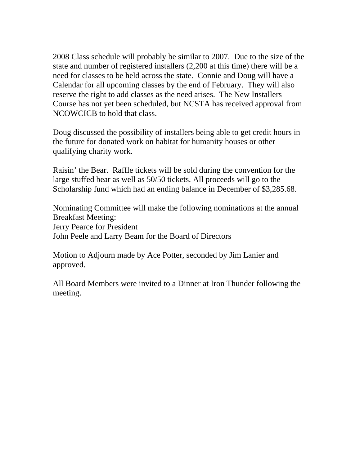2008 Class schedule will probably be similar to 2007. Due to the size of the state and number of registered installers (2,200 at this time) there will be a need for classes to be held across the state. Connie and Doug will have a Calendar for all upcoming classes by the end of February. They will also reserve the right to add classes as the need arises. The New Installers Course has not yet been scheduled, but NCSTA has received approval from NCOWCICB to hold that class.

Doug discussed the possibility of installers being able to get credit hours in the future for donated work on habitat for humanity houses or other qualifying charity work.

Raisin' the Bear. Raffle tickets will be sold during the convention for the large stuffed bear as well as 50/50 tickets. All proceeds will go to the Scholarship fund which had an ending balance in December of \$3,285.68.

Nominating Committee will make the following nominations at the annual Breakfast Meeting: Jerry Pearce for President John Peele and Larry Beam for the Board of Directors

Motion to Adjourn made by Ace Potter, seconded by Jim Lanier and approved.

All Board Members were invited to a Dinner at Iron Thunder following the meeting.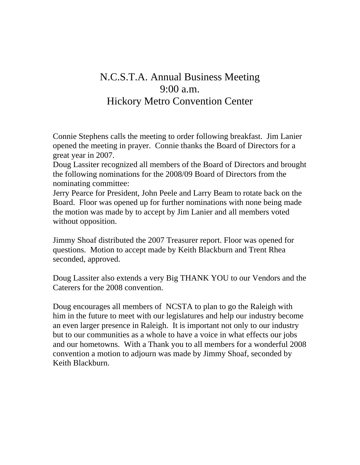## N.C.S.T.A. Annual Business Meeting 9:00 a.m. Hickory Metro Convention Center

Connie Stephens calls the meeting to order following breakfast. Jim Lanier opened the meeting in prayer. Connie thanks the Board of Directors for a great year in 2007.

Doug Lassiter recognized all members of the Board of Directors and brought the following nominations for the 2008/09 Board of Directors from the nominating committee:

Jerry Pearce for President, John Peele and Larry Beam to rotate back on the Board. Floor was opened up for further nominations with none being made the motion was made by to accept by Jim Lanier and all members voted without opposition.

Jimmy Shoaf distributed the 2007 Treasurer report. Floor was opened for questions. Motion to accept made by Keith Blackburn and Trent Rhea seconded, approved.

Doug Lassiter also extends a very Big THANK YOU to our Vendors and the Caterers for the 2008 convention.

Doug encourages all members of NCSTA to plan to go the Raleigh with him in the future to meet with our legislatures and help our industry become an even larger presence in Raleigh. It is important not only to our industry but to our communities as a whole to have a voice in what effects our jobs and our hometowns. With a Thank you to all members for a wonderful 2008 convention a motion to adjourn was made by Jimmy Shoaf, seconded by Keith Blackburn.